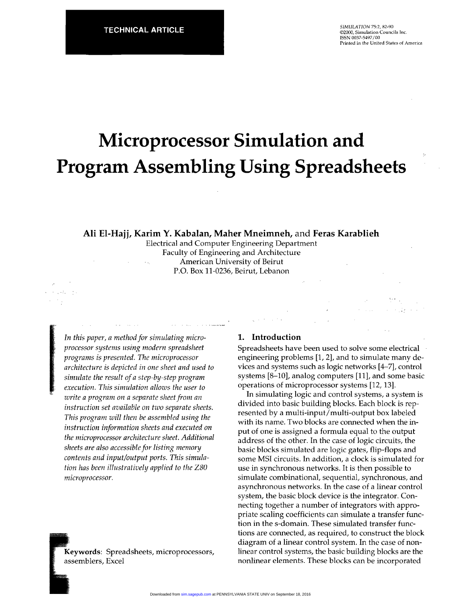# Microprocessor Simulation and Program Assembling Using Spreadsheets

Ali El-Hajj, Karim Y. Kabalan, Maher Mneimneh, and Feras Karablieh

Electrical and Computer Engineering Department Faculty of Engineering and Architecture American University of Beirut P.O. Box 11-0236, Beirut, Lebanon

and the contract of the contract of the contract of the contract of the contract of the contract of the contract of the contract of the contract of the contract of the contract of the contract of the contract of the contra

In this paper, a method for simulating microprocessor systems using modern spreadsheet programs is presented. The microprocessor architecture is depicted in one sheet and used to simulate the result of a step-by-step program execution. This simulation allows the user to write a program on a separate sheet from an instruction set available on two separate sheets. This program will then be assembled using the instruction information sheets and executed on the microprocessor architecture sheet. Additional sheets are also accessible for listing memory contents and input/output ports. This simulation has been illustratively applied to the Z80 microprocessor.

a series and the

 $3.131 - 13$  $\alpha=2/2$ 

> Keywords: Spreadsheets, microprocessors, assemblers, Excel

#### 1. Introduction

Spreadsheets have been used to solve some electrical engineering problems [1, 2], and to simulate many devices and systems such as logic networks [4-7], control systems [8-10], analog computers [11], and some basic operations of microprocessor systems [12, 13].

In simulating logic and control systems, a system is divided into basic building blocks. Each block is represented by a multi-input/multi-output box labeled with its name. Two blocks are connected when the input of one is assigned a formula equal to the output address of the other. In the case of logic circuits, the basic blocks simulated are logic gates, flip-flops and some MSI circuits. In addition, a clock is simulated for use in synchronous networks. It is then possible to simulate combinational, sequential, synchronous, and asynchronous networks. In the case of a linear control system, the basic block device is the integrator. Connecting together a number of integrators with appropriate scaling coefficients can simulate a transfer function in the s-domain. These simulated transfer functions are connected, as required, to construct the block diagram of a linear control system. In the case of nonlinear control systems, the basic building blocks are the nonlinear elements. These blocks can be incorporated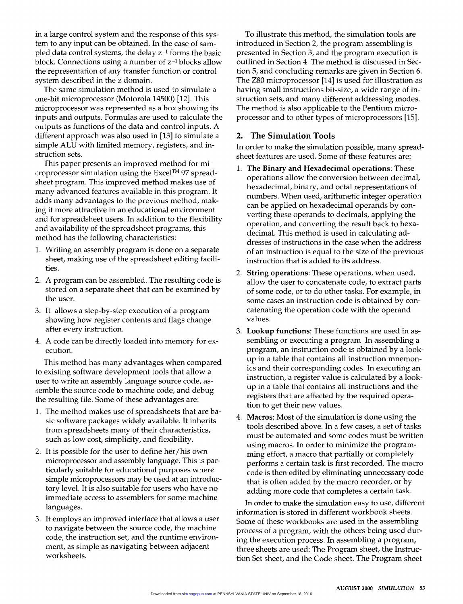in a large control system and the response of this system to any input can be obtained. In the case of sampled data control systems, the delay  $z^{-1}$  forms the basic block. Connections using a number of  $z^{-1}$  blocks allow the representation of any transfer function or control system described in the z domain.

The same simulation method is used to simulate a one-bit microprocessor (Motorola 14500) [12]. This microprocessor was represented as a box showing its inputs and outputs. Formulas are used to calculate the outputs as functions of the data and control inputs. A different approach was also used in [13] to simulate a simple ALU with limited memory, registers, and instruction sets.

This paper presents an improved method for microprocessor simulation using the Excel<sup>TM</sup> 97 spreadsheet program. This improved method makes use of many advanced features available in this program. It adds many advantages to the previous method, making it more attractive in an educational environment and for spreadsheet users. In addition to the flexibility and availability of the spreadsheet programs, this method has the following characteristics:

- 1. Writing an assembly program is done on a separate sheet, making use of the spreadsheet editing facilities.
- 2. A program can be assembled. The resulting code is stored on a separate sheet that can be examined by the user.
- 3. It allows a step-by-step execution of a program showing how register contents and flags change after every instruction.
- 4. A code can be directly loaded into memory for execution.

This method has many advantages when compared to existing software development tools that allow a user to write an assembly language source code, assemble the source code to machine code, and debug the resulting file. Some of these advantages are:

- 1. The method makes use of spreadsheets that are basic software packages widely available. It inherits from spreadsheets many of their characteristics, such as low cost, simplicity, and flexibility.
- 2. It is possible for the user to define her/his own microprocessor and assembly language. This is particularly suitable for educational purposes where simple microprocessors may be used at an introductory level. It is also suitable for users who have no immediate access to assemblers for some machine languages.
- 3. It employs an improved interface that allows a user to navigate between the source code, the machine code, the instruction set, and the runtime environment, as simple as navigating between adjacent worksheets.

To illustrate this method, the simulation tools are introduced in Section 2, the program assembling is presented in Section 3, and the program execution is outlined in Section 4. The method is discussed in Section 5, and concluding remarks are given in Section 6. The Z80 microprocessor [14] is used for illustration as having small instructions bit-size, a wide range of instruction sets, and many different addressing modes. The method is also applicable to the Pentium microprocessor and to other types of microprocessors [15].

# 2. The Simulation Tools

In order to make the simulation possible, many spreadsheet features are used. Some of these features are:

- 1. The Binary and Hexadecimal operations: These operations allow the conversion between decimal, hexadecimal, binary, and octal representations of numbers. When used, arithmetic integer operation can be applied on hexadecimal operands by converting these operands to decimals, applying the operation, and converting the result back to hexadecimal. This method is used in calculating addresses of instructions in the case when the address of an instruction is equal to the size of the previous instruction that is added to its address.
- 2. String operations: These operations, when used, allow the user to concatenate code, to extract parts of some code, or to do other tasks. For example, in some cases an instruction code is obtained by concatenating the operation code with the operand values.
- 3. Lookup functions: These functions are used in assembling or executing a program. In assembling a program, an instruction code is obtained by a lookup in a table that contains all instruction mnemonics and their corresponding codes. In executing an instruction, a register value is calculated by a lookup in a table that contains all instructions and the registers that are affected by the required operation to get their new values.
- 4. Macros: Most of the simulation is done using the tools described above. In a few cases, a set of tasks must be automated and some codes must be written using macros. In order to minimize the programming effort, a macro that partially or completely performs a certain task is first recorded. The macro code is then edited by eliminating unnecessary code that is often added by the macro recorder, or by adding more code that completes a certain task.

In order to make the simulation easy to use, different information is stored in different workbook sheets. Some of these workbooks are used in the assembling process of a program, with the others being used during the execution process. In assembling a program, three sheets are used: The Program sheet, the Instruction Set sheet, and the Code sheet. The Program sheet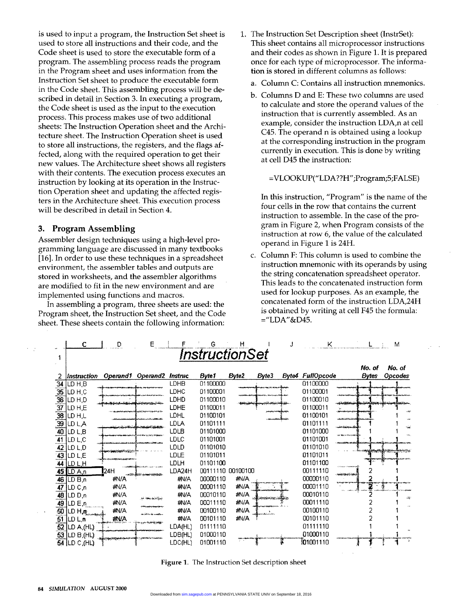is used to input a program, the Instruction Set sheet is used to store all instructions and their code, and the Code sheet is used to store the executable form of a program. The assembling process reads the program in the Program sheet and uses information from the Instruction Set sheet to produce the executable form in the Code sheet. This assembling process will be described in detail in Section 3. In executing a program, the Code sheet is used as the input to the execution process. This process makes use of two additional sheets: The Instruction Operation sheet and the Architecture sheet. The Instruction Operation sheet is used to store all instructions, the registers, and the flags affected, along with the required operation to get their new values. The Architecture sheet shows all registers with their contents. The execution process executes an instruction by looking at its operation in the Instruction Operation sheet and updating the affected registers in the Architecture sheet. This execution process will be described in detail in Section 4.

## 3. Program Assembling

 $\sim$   $\pm$ 

Assembler design techniques using a high-level programming language are discussed in many textbooks [16]. In order to use these techniques in a spreadsheet environment, the assembler tables and outputs are stored in worksheets, and the assembler algorithms are modified to fit in the new environment and are implemented using functions and macros.

In assembling a program, three sheets are used: the Program sheet, the Instruction Set sheet, and the Code sheet. These sheets contain the following information:

- 1. The Instruction Set Description sheet (InstrSet): This sheet contains all microprocessor instructions and their codes as shown in Figure 1. It is prepared once for each type of microprocessor. The information is stored in different columns as follows:
	- a. Column C: Contains all instruction mnemonics.
	- b. Columns D and E: These two columns are used to calculate and store the operand values of the instruction that is currently assembled. As an example, consider the instruction LDA,n at cell C45. The operand n is obtained using a lookup at the corresponding instruction in the program currently in execution. This is done by writing at cell D45 the instruction:

=VLOOKUP("LDA??H";Program;5;FALSE)

In this instruction, "Program" is the name of the four cells in the row that contains the current instruction to assemble. In the case of the program in Figure 2, when Program consists of the instruction at row 6, the value of the calculated operand in Figure 1 is 24H.

c. Column F: This column is used to combine the instruction mnemonic with its operands by using the string concatenation spreadsheet operator. This leads to the concatenated instruction form used for lookup purposes. As an example, the concatenated form of the instruction LDA,24H is obtained by writing at cell F45 the formula:  $=$ "LDA"&D45.

|                 | С                       | D                 | Е                 |             | G                 | н           |       | K                       |                             |              | M              |
|-----------------|-------------------------|-------------------|-------------------|-------------|-------------------|-------------|-------|-------------------------|-----------------------------|--------------|----------------|
|                 |                         |                   |                   |             | InstructionSet    |             |       |                         |                             |              |                |
|                 |                         |                   |                   |             |                   |             |       |                         |                             | No. of       | No. of         |
|                 | Instruction             | Operand1 Operand2 |                   | Instruc     | <b>Byte1</b>      | $B$ yte $2$ | Byte3 | <b>Byte4 FullOpcode</b> |                             | <b>Bytes</b> | <b>Opcodes</b> |
| 34              | LD H.B                  |                   |                   | LDHB        | 01100000          |             |       | 01100000                |                             |              |                |
| $\overline{35}$ | LD H,C                  |                   |                   | LDHC        | 01100001          |             |       | 01100001                |                             |              |                |
| 36              | LD H,D                  |                   |                   | LDHD        | 01100010          |             |       | 01100010                |                             |              |                |
| $\frac{37}{38}$ | LD H,E                  |                   |                   | LDHE        | 01100011          |             |       | 01100011                |                             |              |                |
|                 | LD H,L                  |                   |                   | LDHL        | 01100101          |             |       | 01100101                |                             |              |                |
|                 | LD L,A                  |                   |                   | LDLA        | 01101111          |             |       | 01101111                |                             |              |                |
| $\overline{40}$ | LD L,B                  |                   |                   | LDLB        | 01101000          |             |       | 01101000                |                             |              |                |
| 41              | LD L,C                  |                   |                   | LDLC        | 01101001          |             |       | 01101001                |                             |              |                |
| 42              | LD L,D                  |                   |                   | LDLD        | 01101010          |             |       | 01101010                |                             |              |                |
| 43              | LD L.E                  |                   |                   | <b>LDLE</b> | 01101011          |             |       | 01101011                |                             |              |                |
|                 | 44 ILD L.H              |                   |                   | LDLH        | 01101100          |             |       | 01101100                |                             |              |                |
|                 | $45$ LD A <sub>,n</sub> | $I$ 24H           |                   | LDA24H      | 00111110 00100100 |             |       | 00111110                | <b>Series State Affects</b> |              |                |
| 46              | LDBn                    | #N/A              |                   | #N/A        | 00000110          | #N/A        |       | 00000110                |                             | 2            |                |
|                 | 47   LD C, n            | #N/A              |                   | #N/A        | 00001110          | #N/A        |       | 00001110                |                             | Э            |                |
| 48              | LD D n                  | #N/A              |                   | #N/A        | 00010110          | #N/A        |       | 00010110                |                             |              | щP             |
| $\frac{49}{50}$ | LD E.n                  | #N/A              |                   | #N/A        | 00011110          | #N/A        |       | 00011110                |                             |              |                |
|                 | LD H, n                 | #N/A              |                   | #N/A        | 00100110          | #N/A        |       | 00100110                |                             |              |                |
| $\overline{51}$ | ILD L.n                 | <b>HN/A</b>       | a en Morris affix | #N/A        | 00101110          | #N/A        |       | 00101110                |                             |              |                |
| 52              | LD A,(HL)               |                   |                   | LDA(HL)     | 01111110          |             |       | 01111110                |                             |              |                |
| 53              | LD B,(HL)               |                   |                   | LDB(HL)     | 01000110          |             |       | 01000110                |                             |              |                |
|                 | $54$ (LD C, (HL)        |                   |                   | LDC(HL)     | 01001110          |             |       | 101001110               |                             |              |                |

Figure 1. The Instruction Set description sheet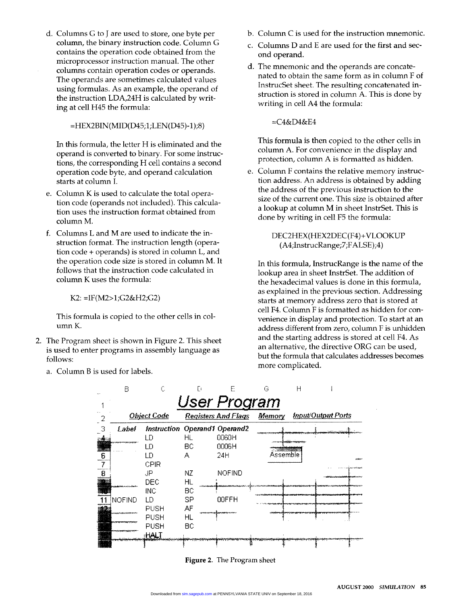d. Columns G to J are used to store, one byte per column, the binary instruction code. Column G contains the operation code obtained from the microprocessor instruction manual. The other columns contain operation codes or operands. The operands are sometimes calculated values using formulas. As an example, the operand of the instruction LDA,24H is calculated by writing at cell H45 the formula:

=HEX2BIN(MID(D45;1;LEN(D45)-1);8)

In this formula, the letter H is eliminated and the operand is converted to binary. For some instructions, the corresponding H cell contains a second operation code byte, and operand calculation starts at column I.

- e. Column K is used to calculate the total operation code (operands not included). This calculation uses the instruction format obtained from column M.
- f. Columns L and M are used to indicate the instruction format. The instruction length (operation code + operands) is stored in column L, and the operation code size is stored in column M. It follows that the instruction code calculated in column K uses the formula:

K2: =IF(M2>1;G2&H2;G2)

This formula is copied to the other cells in column K.

- 2. The Program sheet is shown in Figure 2. This sheet is used to enter programs in assembly language as follows:
	- a. Column B is used for labels.
- b. Column C is used for the instruction mnemonic.
- c. Columns D and E are used for the first and second operand.
- d. The mnemonic and the operands are concatenated to obtain the same form as in column F of InstrucSet sheet. The resulting concatenated instruction is stored in column A. This is done by writing in cell A4 the formula:

=C4&D4&E4

This formula is then copied to the other cells in column A. For convenience in the display and protection, column A is formatted as hidden.

e. Column F contains the relative memory instruction address. An address is obtained by adding the address of the previous instruction to the size of the current one. This size is obtained after a lookup at column M in sheet InstrSet. This is done by writing in cell F5 the formula:

## DEC2HEX(HEX2DEC(F4)+VLOOKUP (A4;InstrucRange;7;FALSE);4)

In this formula, InstrucRange is the name of the lookup area in sheet InstrSet. The addition of the hexadecimal values is done in this formula, as explained in the previous section. Addressing starts at memory address zero that is stored at cell F4. Column F is formatted as hidden for convenience in display and protection. To start at an address different from zero, column F is unhidden and the starting address is stored at cell F4. As an alternative, the directive ORG can be used, but the formula that calculates addresses becomes more complicated.



Figure 2. The Program sheet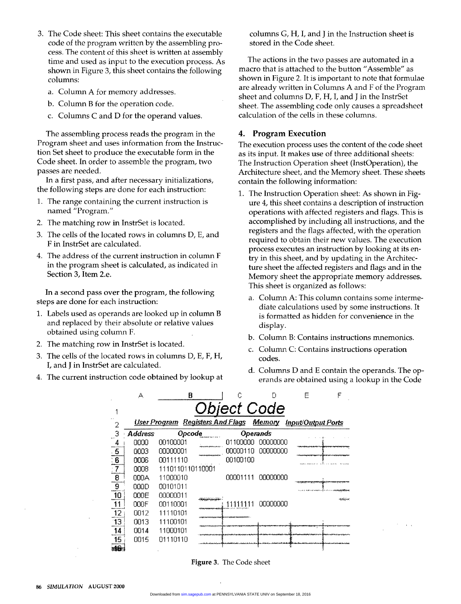- 3. The Code sheet: This sheet contains the executable code of the program written by the assembling pro cess. The content of this sheet is written at assembly time and used as input to the execution process. As shown in Figure 3, this sheet contains the following columns:
	- a. Column A for memory addresses.
	- b. Column B for the operation code.
	- c. Columns C and D for the operand values.

The assembling process reads the program in the Program sheet and uses information from the Instruction Set sheet to produce the executable form in the Code sheet. In order to assemble the program, two passes are needed.

In a first pass, and after necessary initializations, the following steps are done for each instruction:

- 1. The range containing the current instruction is named "Program."
- 2. The matching row in InstrSet is located.
- 3. The cells of the located rows in columns D, E, and F in InstrSet are calculated.
- 4. The address of the current instruction in column F in the program sheet is calculated, as indicated in Section 3, Item 2.e.

In a second pass over the program, the following steps are done for each instruction:

- 1. Labels used as operands are looked up in column B and replaced by their absolute or relative values obtained using column F. obtained using over the program, the following<br>ps are done for each instruction:<br>Labels used as operands are looked up in c<br>and replaced by their absolute or relative<br>obtained using column F.<br>The matching row in InstrSet i
- 2. The matching row in InstrSet is located.
- 3. The cells of the located rows in columns D, E, F, H, I, and J in InstrSet are calculated.
- 4. The current instruction code obtained by lookup at

columns G, H, I, and J in the Instruction sheet is stored in the Code sheet.

The actions in the two passes are automated in a macro that is attached to the button "Assemble" as shown in Figure 2. It is important to note that formulae are already written in Columns A and F of the Program sheet and columns D, F, H, I, and J in the InstrSet sheet. The assembling code only causes a spreadsheet calculation of the cells in these columns.

#### 4. Program Execution

The execution process uses the content of the code sheet as its input. It makes use of three additional sheets: The Instruction Operation sheet (InstOperation), the Architecture sheet, and the Memory sheet. These sheets contain the following information:

- 1. The Instruction Operation sheet: As shown in Fig ure 4, this sheet contains a description of instruction operations with affected registers and flags. This is accomplished by including all instructions, and the registers and the flags affected, with the operation required to obtain their new values. The execution process executes an instruction by looking at its entry in this sheet, and by updating in the Architecture sheet the affected registers and flags and in the Memory sheet the appropriate memory addresses. This sheet is organized as follows:
	- a. Column A: This column contains some intermediate calculations used by some instructions. It is formatted as hidden for convenience in the display.
	- b. Column B: Contains instructions mnemonics.
	- c. Column C: Contains instructions operation codes.
	- d. Columns D and E contain the operands. The operands are obtained using a lookup in the Code

 $\mathcal{A}=\mathcal{A}^{\dagger}$  .

|                 | А            | R                                                          |                    |          |        |       |
|-----------------|--------------|------------------------------------------------------------|--------------------|----------|--------|-------|
|                 |              |                                                            | <b>Object Code</b> |          |        |       |
|                 |              | User Program Registers And Flags Memory Input/Output Ports |                    |          |        |       |
| З               | Address      | Opcode<br><b>Women's Scores</b>                            | <b>Operands</b>    |          |        |       |
|                 | uuu          | NN 100001                                                  | ก11ทกกก            | nnnnnnn  |        |       |
| .5              | 0003         | 00000001                                                   | MMM111             | 00000000 |        |       |
| $\frac{1}{2}$ 6 | mnr          | በበ11111በ                                                   | 00100100           |          |        |       |
| $\overline{7}$  | nnna         | 1110110110110001                                           |                    |          |        |       |
| 8               | <b>NODA</b>  | 11000010                                                   |                    | 00000000 |        |       |
| 9               | nnnn         |                                                            |                    |          | ويتنقص |       |
| 10              | OODE         | 00000011                                                   |                    |          |        | ستنهج |
| 11              | mnF          | กก11กกก1                                                   |                    | mmmmm    |        |       |
| 12              | DN 12        | 11110101                                                   |                    |          |        |       |
| $\overline{13}$ | 0013         | 11100101                                                   |                    |          |        |       |
| 14              | $\bigcap 14$ | 11000101                                                   |                    |          |        |       |
| 15              | M15          | 01110110                                                   |                    |          |        |       |
| <b>d6</b>       |              |                                                            |                    |          |        |       |

Figure 3. The Code sheet

 $\alpha$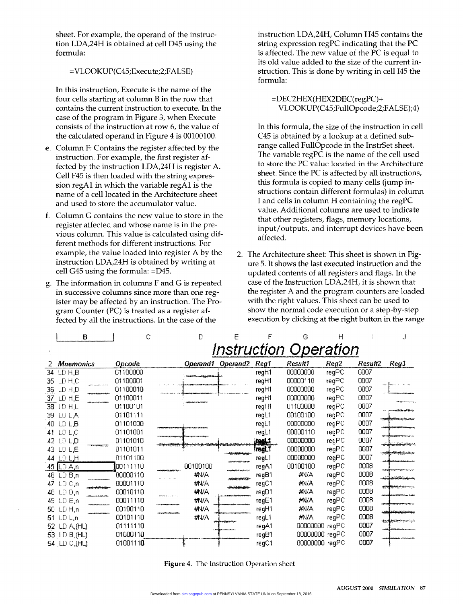sheet. For example, the operand of the instruction LDA,24H is obtained at cell D45 using the formula:

## =VLOOKUP(C45;Execute;2;FALSE)

In this instruction, Execute is the name of the four cells starting at column B in the row that contains the current instruction to execute. In the case of the program in Figure 3, when Execute consists of the instruction at row 6, the value of the calculated operand in Figure 4 is 00100100.

- e. Column F: Contains the register affected by the instruction. For example, the first register affected by the instruction LDA,24H is register A. Cell F45 is then loaded with the string expression regAl in which the variable regAl is the name of a cell located in the Architecture sheet and used to store the accumulator value.
- f. Column G contains the new value to store in the register affected and whose name is in the previous column. This value is calculated using different methods for different instructions. For example, the value loaded into register A by the instruction LDA,24H is obtained by writing at cell G45 using the formula: =D45.
- The information in columns F and G is repeated in successive columns since more than one register may be affected by an instruction. The Program Counter (PC) is treated as a register affected by all the instructions. In the case of the

instruction LDA,24H, Column H45 contains the string expression regPC indicating that the PC is affected. The new value of the PC is equal to its old value added to the size of the current instruction. This is done by writing in cell 145 the formula:

=DEC2HEX(HEX2DEC(regPC)+ VLOOKUP(C45;Fu11Opcode;2;FALSE);4)

In this formula, the size of the instruction in cell C45 is obtained by a lookup at a defined subrange called FullOpcode in the InstrSet sheet. The variable regPC is the name of the cell used to store the PC value located in the Architecture sheet. Since the PC is affected by all instructions, this formula is copied to many cells (jump instructions contain different formulas) in column I and cells in column H containing the regPC value. Additional columns are used to indicate that other registers, flags, memory locations, input/outputs, and interrupt devices have been affected.

2. The Architecture sheet: This sheet is shown in Fig ure 5. It shows the last executed instruction and the updated contents of all registers and flags. In the case of the Instruction LDA,24H, it is shown that the register A and the program counters are loaded with the right values. This sheet can be used to show the normal code execution or a step-by-step execution by clicking at the right button in the range

|     | B                   | C                               | Đ                   | F                    |         | G                     | Н     |                     |                          |
|-----|---------------------|---------------------------------|---------------------|----------------------|---------|-----------------------|-------|---------------------|--------------------------|
|     |                     |                                 |                     |                      |         | Instruction Operation |       |                     |                          |
|     | <b>Mnemonics</b>    | Opcode                          | Operand1            | Operand <sub>2</sub> | Reg1    | <b>Result1</b>        | Reg2  | Result <sub>2</sub> | Reg <sub>3</sub>         |
| 34  | LD H,B              | 01100000                        | والانتقاط فالمتحصحة |                      | regH1   | 00000000              | regPC | 0007                |                          |
| 35  | LD H.C              | 01100001                        |                     |                      | regH1   | 00000110              | regPC | 0007                |                          |
| 36  | LD H,D              | 01100010                        |                     |                      | regH1   | 00000000              | regPC | 0007                |                          |
| 37  | LD H <sub>I</sub> E | 01100011                        |                     |                      | regH1   | 00000000              | regPC | 0007                |                          |
|     | 38 LD H.L           | 01100101                        |                     |                      | regH1   | 01100000              | regPC | 0007                |                          |
| 39. | LD L.A              | 01101111                        |                     |                      | regL1   | 00100100              | regPC | 0007                |                          |
| 40. | $LD$ $L$ , $B$      | 01101000                        |                     |                      | regL1   | 00000000              | regPC | 0007                |                          |
| 41  | LD L,C              | 01101001                        |                     |                      | regL1   | 00000110              | regPC | 0007                |                          |
| 42  | LD L,D              | 01101010                        |                     |                      | 1. وها  | 00000000              | regPC | 0007                |                          |
| 43. | LD L,E              | 01101011                        |                     |                      | fregt.1 | 00000000              | regPC | 0007                |                          |
| 44  | LD L.H              | 01101100                        |                     |                      | regL1   | 00000000              | regPC | 0007                |                          |
|     | $45$ LD A,n         | 00111110                        | 00100100            |                      | regA1   | 00100100              | regPC | 0008                |                          |
|     | 46 LD B,n           | 00000110                        | #N/A                |                      | regB1   | #N/A                  | regPC | 0008                | <b>CONTRACTOR</b>        |
| 47  | LD C <sub>n</sub>   | 00001110                        | #N/A                |                      | regC1   | #N/A                  | regPC | 0008                |                          |
| 48. | $LD$ $D$ , $n$      | 00010110<br><b>MANAGE LOANS</b> | #N/A                |                      | regD1   | #N/A                  | regPC | 0008                |                          |
| 49  | LD E <sub>n</sub>   | 00011110                        | #N/A                |                      | regE1   | #N/A                  | regPC | 0008                |                          |
| 50  | LD H <sub>,n</sub>  | 00100110                        | #N/A                |                      | regH1   | #N/A                  | regPC | 0008                | a da babadan Kabupaten I |
| 51  | LD L, n             | 00101110                        | #N/A                |                      | regL1   | #N/A                  | regPC | 0008                |                          |
| 52  | LD A,(HL)           | 01111110                        |                     | <b>CONSUMING</b>     | regA1   | 00000000              | regPC | 0007                |                          |
| 53  | LD B,(HL)           | 01000110                        |                     |                      | regB1   | 00000000 regPC        |       | 0007                |                          |
|     | 54 LD C.(HL)        | 01001110                        |                     |                      | regC1   | 00000000 regPC        |       | 0007                |                          |

Figure 4. The Instruction Operation sheet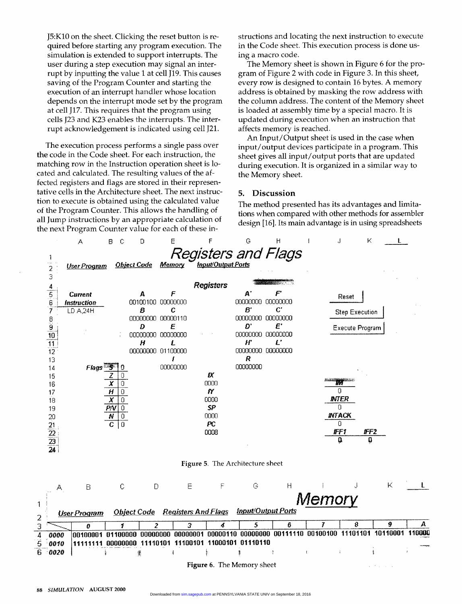J5:K10 on the sheet. Clicking the reset button is required before starting any program execution. The simulation is extended to support interrupts. The user during a step execution may signal an interrupt by inputting the value 1 at cell J19. This causes saving of the Program Counter and starting the execution of an interrupt handler whose location depends on the interrupt mode set by the program at cell J17. This requires that the program using cells J23 and K23 enables the interrupts. The interrupt acknowledgement is indicated using cell J21.

The execution process performs a single pass over the code in the Code sheet. For each instruction, the matching row in the Instruction operation sheet is located and calculated. The resulting values of the affected registers and flags are stored in their representative cells in the Architecture sheet. The next instruction to execute is obtained using the calculated value of the Program Counter. This allows the handling of all Jump instructions by an appropriate calculation of the next Program Counter value for each of these instructions and locating the next instruction to execute in the Code sheet. This execution process is done using a macro code.

The Memory sheet is shown in Figure 6 for the program of Figure 2 with code in Figure 3. In this sheet, every row is designed to contain 16 bytes. A memory address is obtained by masking the row address with the column address. The content of the Memory sheet is loaded at assembly time by a special macro. It is updated during execution when an instruction that affects memory is reached.

An Input/Output sheet is used in the case when input/output devices participate in a program. This sheet gives all input/output ports that are updated during execution. It is organized in a similar way to the Memory sheet.

#### 5. Discussion

The method presented has its advantages and limitations when compared with other methods for assembler design [16]. Its main advantage is in using spreadsheets

|                                                                                     | А                             | B<br>C                                               | D                      | Е             |                            |                  |                           | G                                |   | Н                          |        | 1.                       | Κ                |   |        |
|-------------------------------------------------------------------------------------|-------------------------------|------------------------------------------------------|------------------------|---------------|----------------------------|------------------|---------------------------|----------------------------------|---|----------------------------|--------|--------------------------|------------------|---|--------|
|                                                                                     |                               |                                                      |                        |               |                            |                  |                           |                                  |   | <b>Registers and Flags</b> |        |                          |                  |   |        |
| $\frac{2}{3}$                                                                       | <b>User Program</b>           |                                                      | <b>Object Code</b>     | <b>Memory</b> |                            |                  | <b>Input/Output Ports</b> |                                  |   |                            |        |                          |                  |   |        |
|                                                                                     |                               |                                                      |                        |               |                            |                  |                           |                                  |   |                            |        |                          |                  |   |        |
|                                                                                     |                               |                                                      |                        |               |                            | <b>Registers</b> |                           | А'                               |   | $\mathcal{F}$              |        |                          |                  |   |        |
| $\frac{4}{5}$<br>$\frac{6}{7}$                                                      | <b>Current</b><br>Instruction |                                                      | А<br>00100100 00000000 | F             |                            |                  |                           | 00000000 00000000                |   |                            |        | Reset                    |                  |   |        |
|                                                                                     | LD A, 24H                     |                                                      | $\boldsymbol{B}$       | $\mathbf C$   |                            |                  |                           | $B^{\prime}$                     |   | $\mathbf{C}'$              |        | <b>Step Execution</b>    |                  |   |        |
|                                                                                     |                               |                                                      | 00000000 00000110      |               |                            |                  |                           | 00000000 00000000                |   |                            |        |                          |                  |   |        |
| $\begin{array}{c}\n 8 \\  \hline\n 9 \\  \hline\n 11 \\  \hline\n 12\n \end{array}$ |                               |                                                      | D                      | Ε             |                            |                  |                           | D'                               |   | E'                         |        | Execute Program          |                  |   |        |
|                                                                                     |                               |                                                      | 00000000 00000000      |               |                            |                  |                           | 00000000 00000000                |   |                            |        |                          |                  |   |        |
|                                                                                     |                               |                                                      | $\boldsymbol{H}$       | L             |                            |                  |                           | $H^{\prime}$                     |   | $\mathcal{L}^*$            |        |                          |                  |   |        |
|                                                                                     |                               |                                                      | 00000000 01100000      |               |                            |                  |                           | 00000000 00000000<br>R           |   |                            |        |                          |                  |   |        |
| 13<br>14                                                                            | Flags <sup>19</sup> 5         | o                                                    |                        | 00000000      |                            |                  |                           | 00000000                         |   |                            |        |                          |                  |   |        |
| 15                                                                                  |                               | 0                                                    |                        |               |                            | IX.              |                           |                                  |   |                            |        |                          |                  |   |        |
| 16                                                                                  |                               | 0                                                    |                        |               |                            | 0000             |                           |                                  |   |                            |        |                          |                  |   |        |
| 17                                                                                  |                               | $\Box$                                               |                        |               |                            | $\pmb N$         |                           |                                  |   |                            |        | n                        |                  |   |        |
| 18                                                                                  |                               | $\overline{0}$                                       |                        |               |                            | 0000             |                           |                                  |   |                            |        | <b>INTER</b><br>$\Gamma$ |                  |   |        |
| 19                                                                                  |                               | $\overline{P/V}$<br>$\overline{0}$<br>$\overline{0}$ |                        |               |                            | SP<br>0000       |                           |                                  |   |                            |        | <b>INTACK</b>            |                  |   |        |
| $\overline{20}$                                                                     |                               | 0                                                    |                        |               |                            | PC               |                           |                                  |   |                            |        | $\Omega$                 |                  |   |        |
|                                                                                     |                               |                                                      |                        |               |                            | 0008             |                           |                                  |   |                            |        | IFF1                     | IFF <sub>2</sub> |   |        |
| $\frac{21}{22}$ $\frac{23}{24}$                                                     |                               |                                                      |                        |               |                            |                  |                           |                                  |   |                            |        | O.                       | Ω                |   |        |
|                                                                                     |                               |                                                      |                        |               |                            |                  |                           |                                  |   |                            |        |                          |                  |   |        |
|                                                                                     |                               |                                                      |                        |               |                            |                  |                           | Figure 5. The Architecture sheet |   |                            |        |                          |                  |   |        |
|                                                                                     |                               |                                                      |                        |               |                            |                  |                           |                                  |   |                            |        |                          |                  |   |        |
|                                                                                     | $\mathsf B$                   | $\mathbb C$                                          | $\mathsf D$            |               | E                          |                  | F                         | G                                |   | H                          |        |                          |                  | К |        |
|                                                                                     |                               |                                                      |                        |               |                            |                  |                           |                                  |   |                            | Memory |                          |                  |   |        |
|                                                                                     |                               |                                                      |                        |               |                            |                  |                           |                                  |   |                            |        |                          |                  |   |        |
|                                                                                     | <b>User Program</b>           |                                                      | <b>Object Code</b>     |               | <b>Registers And Flags</b> |                  |                           | <b>Input/Output Ports</b>        |   |                            |        |                          |                  |   |        |
|                                                                                     | 0                             | 1                                                    | $\overline{z}$         |               | 3                          |                  |                           | 5                                |   | 6                          |        | 8                        |                  | 9 | А      |
| 0000                                                                                | 00100001                      |                                                      |                        |               |                            |                  |                           |                                  |   |                            |        |                          |                  |   | 110000 |
| 0010                                                                                | 11111111                      | 00000000                                             | 11110101               |               |                            |                  |                           | 11100101 11000101 01110110       |   |                            |        |                          |                  |   |        |
| 0020                                                                                |                               |                                                      | 棗                      |               |                            |                  |                           | 3                                | Š |                            |        |                          |                  |   |        |
|                                                                                     |                               |                                                      |                        |               |                            |                  |                           | Figure 6. The Memory sheet       |   |                            |        |                          |                  |   |        |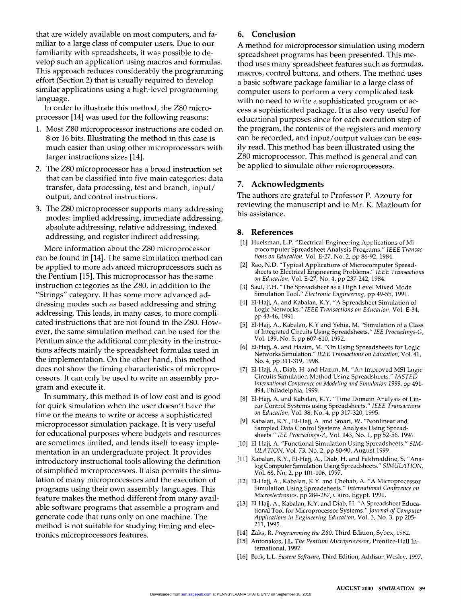that are widely available on most computers, and familiar to a large class of computer users. Due to our familiarity with spreadsheets, it was possible to develop such an application using macros and formulas. This approach reduces considerably the programming effort (Section 2) that is usually required to develop similar applications using a high-level programming language.

In order to illustrate this method, the Z80 microprocessor [14] was used for the following reasons:

- 1. Most Z80 microprocessor instructions are coded on 8 or 16 bits. Illustrating the method in this case is much easier than using other microprocessors with larger instructions sizes [14].
- 2. The Z80 microprocessor has a broad instruction set that can be classified into five main categories: data transfer, data processing, test and branch, input/ output, and control instructions.
- 3. The Z80 microprocessor supports many addressing modes: implied addressing, immediate addressing, absolute addressing, relative addressing, indexed addressing, and register indirect addressing.

More information about the Z80 microprocessor can be found in [14]. The same simulation method can be applied to more advanced microprocessors such as the Pentium [15]. This microprocessor has the same instruction categories as the Z80, in addition to the "Strings" category. It has some more advanced addressing modes such as based addressing and string addressing. This leads, in many cases, to more complicated instructions that are not found in the Z80. However, the same simulation method can be used for the Pentium since the additional complexity in the instructions affects mainly the spreadsheet formulas used in the implementation. On the other hand, this method does not show the timing characteristics of micropro cessors. It can only be used to write an assembly program and execute it.

In summary, this method is of low cost and is good for quick simulation when the user doesn't have the time or the means to write or access a sophisticated microprocessor simulation package. It is very useful for educational purposes where budgets and resources are sometimes limited, and lends itself to easy implementation in an undergraduate project. It provides introductory instructional tools allowing the definition of simplified microprocessors. It also permits the simulation of many microprocessors and the execution of programs using their own assembly languages. This feature makes the method different from many available software programs that assemble a program and generate code that runs only on one machine. The method is not suitable for studying timing and electronics microprocessors features.

#### 6. Conclusion

A method for microprocessor simulation using modern spreadsheet programs has been presented. This method uses many spreadsheet features such as formulas, macros, control buttons, and others. The method uses a basic software package familiar to a large class of computer users to perform a very complicated task with no need to write a sophisticated program or access a sophisticated package. It is also very useful for educational purposes since for each execution step of<br>the program, the contents of the registers and memory can be recorded, and input/output values can be easily read. This method has been illustrated using the Z80 microprocessor. This method is general and can be applied to simulate other microprocessors.

## 7. Acknowledgments

The authors are grateful to Professor P. Azoury for reviewing the manuscript and to Mr. K. Mazloum for his assistance.

#### 8. References

- [1] Huelsman, L.P. "Electrical Engineering Applications of Microcomputer Spreadsheet Analysis Programs." IEEE Transactions on Education, Vol. E-27, No. 2, pp 86-92, 1984.<br>[2] Rao, N.D. "Typical Applications of Microcomputer Spread-
- [2] Rao, N.D. "Typical Applications of Microcomputer Spread- sheets to Electrical Engineering Problems." IEEE Transactions on Education, Vol. E-27, No. 4, pp 237-242, 1984.
- [3] Saul, P.H. "The Spreadsheet as a High Level Mixed Mode Simulation Tool." Electronic Engineering, pp 49-55, 1991.
- [4] El-Hajj, A. and Kabalan, K.Y. "A Spreadsheet Simulation of Logic Networks." IEEE Transactions on Education, Vol. E-34, pp 43-46, 1991.
- [5] El-Hajj, A., Kabalan, K.Y and Yehia, M. "Simulation of a Class of Integrated Circuits Using Spreadsheets." IEE Proceedings-G, Vol. 139, No. 5, pp 607-610, 1992.
- [6] El-Hajj, A. and Hazim, M. "On Using Spreadsheets for Logic Networks Simulation." IEEE Transactions on Education, Vol. 41, No. 4, pp 311-319, 1998.
- [7] El-Hajj, A., Diab, H. and Hazim, M. "An Improved MSI Logic Circuits Simulation Method Using Spreadsheets." IASTED International Conference on Modeling and Simulation 1999, pp 491- 494, Philadelphia, 1999.
- [8] El-Hajj, A. and Kabalan, K.Y. "Time Domain Analysis of Linear Control Systems using Spreadsheets." IEEE Transactions on Education, Vol. 38, No. 4, pp 317-320, 1995.
- [9] Kabalan, K.Y., El-Hajj, A. and Smari, W. "Nonlinear and Sampled Data Control Systems Analysis Using Spreadsheets." IEE Proceedings-A, Vol. 143, No. 1, pp 52-56, 1996.
- [10] El-Hajj, A. "Functional Simulation Using Spreadsheets." SIM-ULATION, Vol. 73, No. 2, pp 80-90, August 1999.
- [11] Kabalan, K.Y., El-Hajj, A., Diab, H. and Fakhreddine, S. "Analog Computer Simulation Using Spreadsheets." SIMULATION, Vol. 68, No. 2, pp 101-106, 1997.
- [12] El-Hajj, A., Kabalan, K.Y. and Chehab, A. "A Microprocessor Simulation Using Spreadsheets." International Conference on Microelectronics, pp 284-287, Cairo, Egypt, 1991.
- [13] El-Hajj, A., Kabalan, K.Y. and Diab, H. "A Spreadsheet Educational Tool for Microprocessor Systems." Journal of Computer Applications in Engineering Education, Vol. 3, No. 3, pp 205- 211, 1995.
- [14] Zaks, R. Programming the Z80, Third Edition, Sybex, 1982.
- [15] Antonakos, J.L. The Pentium Microprocessor, Prentice-Hall International, 1997.
- [16] Beck, L.L. System Software, Third Edition, Addison Wesley, 1997.